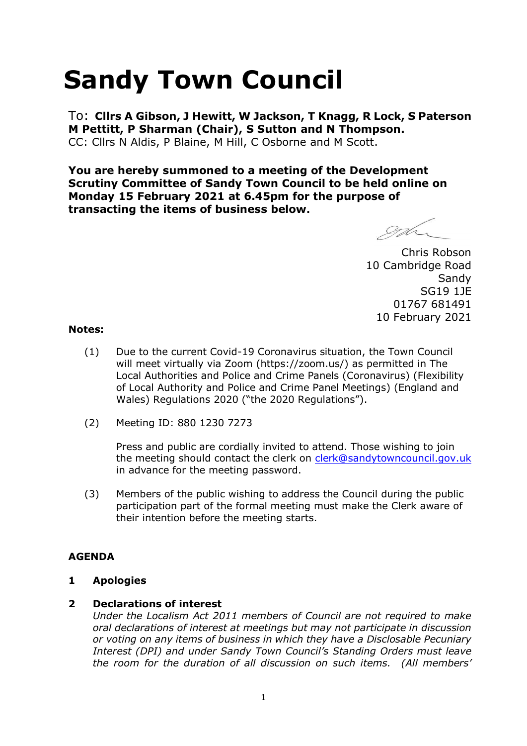# **Sandy Town Council**

To: **Cllrs A Gibson, J Hewitt, W Jackson, T Knagg, R Lock, S Paterson M Pettitt, P Sharman (Chair), S Sutton and N Thompson.**  CC: Cllrs N Aldis, P Blaine, M Hill, C Osborne and M Scott.

**You are hereby summoned to a meeting of the Development Scrutiny Committee of Sandy Town Council to be held online on Monday 15 February 2021 at 6.45pm for the purpose of transacting the items of business below.**

gd

Chris Robson 10 Cambridge Road **Sandy** SG19 1JE 01767 681491 10 February 2021

### **Notes:**

- (1) Due to the current Covid-19 Coronavirus situation, the Town Council will meet virtually via Zoom (https://zoom.us/) as permitted in The Local Authorities and Police and Crime Panels (Coronavirus) (Flexibility of Local Authority and Police and Crime Panel Meetings) (England and Wales) Regulations 2020 ("the 2020 Regulations").
- (2) Meeting ID: 880 1230 7273

Press and public are cordially invited to attend. Those wishing to join the meeting should contact the clerk on [clerk@sandytowncouncil.gov.uk](mailto:clerk@sandytowncouncil.gov.uk) in advance for the meeting password.

(3) Members of the public wishing to address the Council during the public participation part of the formal meeting must make the Clerk aware of their intention before the meeting starts.

## **AGENDA**

## **1 Apologies**

## **2 Declarations of interest**

*Under the Localism Act 2011 members of Council are not required to make oral declarations of interest at meetings but may not participate in discussion or voting on any items of business in which they have a Disclosable Pecuniary Interest (DPI) and under Sandy Town Council's Standing Orders must leave the room for the duration of all discussion on such items. (All members'*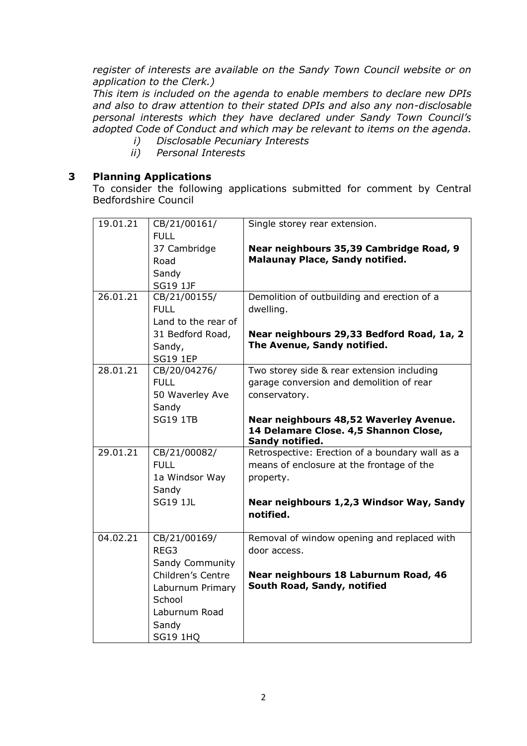*register of interests are available on the Sandy Town Council website or on application to the Clerk.)* 

*This item is included on the agenda to enable members to declare new DPIs and also to draw attention to their stated DPIs and also any non-disclosable personal interests which they have declared under Sandy Town Council's adopted Code of Conduct and which may be relevant to items on the agenda.* 

- *i) Disclosable Pecuniary Interests*
- *ii) Personal Interests*

## **3 Planning Applications**

To consider the following applications submitted for comment by Central Bedfordshire Council

| 19.01.21 | CB/21/00161/<br><b>FULL</b>                                               | Single storey rear extension.                                                                             |
|----------|---------------------------------------------------------------------------|-----------------------------------------------------------------------------------------------------------|
|          | 37 Cambridge<br>Road                                                      | Near neighbours 35,39 Cambridge Road, 9<br><b>Malaunay Place, Sandy notified.</b>                         |
|          | Sandy<br><b>SG19 1JF</b>                                                  |                                                                                                           |
| 26.01.21 | CB/21/00155/<br><b>FULL</b><br>Land to the rear of                        | Demolition of outbuilding and erection of a<br>dwelling.                                                  |
|          | 31 Bedford Road,<br>Sandy,<br><b>SG19 1EP</b>                             | Near neighbours 29,33 Bedford Road, 1a, 2<br>The Avenue, Sandy notified.                                  |
| 28.01.21 | CB/20/04276/<br><b>FULL</b><br>50 Waverley Ave<br>Sandy                   | Two storey side & rear extension including<br>garage conversion and demolition of rear<br>conservatory.   |
|          | <b>SG19 1TB</b>                                                           | Near neighbours 48,52 Waverley Avenue.<br>14 Delamare Close. 4,5 Shannon Close,<br>Sandy notified.        |
| 29.01.21 | CB/21/00082/<br><b>FULL</b><br>1a Windsor Way<br>Sandy                    | Retrospective: Erection of a boundary wall as a<br>means of enclosure at the frontage of the<br>property. |
|          | <b>SG19 1JL</b>                                                           | Near neighbours 1,2,3 Windsor Way, Sandy<br>notified.                                                     |
| 04.02.21 | CB/21/00169/<br>REG3<br>Sandy Community                                   | Removal of window opening and replaced with<br>door access.                                               |
|          | Children's Centre<br>Laburnum Primary<br>School<br>Laburnum Road<br>Sandy | Near neighbours 18 Laburnum Road, 46<br>South Road, Sandy, notified                                       |
|          | <b>SG19 1HQ</b>                                                           |                                                                                                           |